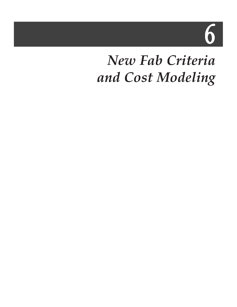6

# *New Fab Criteria and Cost Modeling*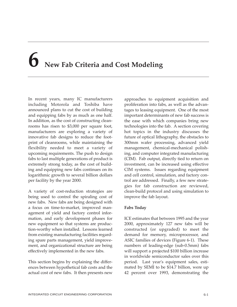# **6 New Fab Criteria and Cost Modeling**

In recent years, many IC manufacturers including Motorola and Toshiba have announced plans to cut the cost of building and equipping fabs by as much as one half. In addition, as the cost of constructing cleanrooms has risen to \$3,000 per square foot, manufacturers are exploring a variety of innovative fab designs to reduce the footprint of cleanrooms, while maintaining the flexibility needed to meet a variety of upcoming requirements. The push to design fabs to last multiple generations of product is extremely strong today, as the cost of building and equipping new fabs continues on its logarithmic growth to several billion dollars per facility by the year 2000.

A variety of cost-reduction strategies are being used to control the spiraling cost of new fabs. New fabs are being designed with a focus on time-to-market, improved management of yield and factory control information, and early development phases for new equipment so that systems are production-worthy when installed. Lessons learned from existing manufacturing facilities regarding spare parts management, yield improvement, and organizational structure are being effectively implemented in the new fabs.

This section begins by explaining the differences between hypothetical fab costs and the actual cost of new fabs. It then presents new

approaches to equipment acquisition and proliferation into fabs, as well as the advantages to leasing equipment. One of the most important determinants of new fab success is the ease with which companies bring new technologies into the fab. A section covering hot topics in the industry discusses the future of optical lithography, the obstacles to 300mm wafer processing, advanced yield management, chemical-mechanical polishing, and computer integrated manufacturing (CIM). Fab output, directly tied to return on investment, can be increased using effective CIM systems. Issues regarding equipment and cell control, simulation, and factory control are addressed. Finally, a few new strategies for fab construction are reviewed, clean-build protocol and using simulation to improve the fab layout.

# **Fabs Today**

ICE estimates that between 1995 and the year 2000, approximately 127 new fabs will be constructed (or upgraded) to meet the demand for memory, microprocessor, and ASIC families of devices (Figure 6-1). These numbers of leading-edge (sub-0.5mm) fabs will support a projected \$100 billion increase in worldwide semiconductor sales over this period. Last year's equipment sales, estimated by SEMI to be \$14.7 billion, were up 42 percent over 1993, demonstrating the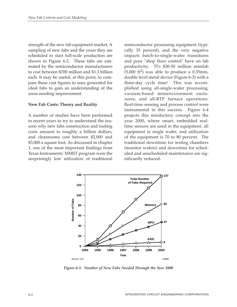strength of the new fab equipment market. A sampling of new fabs and the years they are scheduled to start full-scale production are shown in Figure 6-2. These fabs are estimated by the semiconductor manufacturers to cost between \$700 million and \$1.3 billion each. It may be useful, at this point, to compare these cost figures to ones generated for ideal fabs to gain an understanding of the areas needing improvement.

#### **New Fab Costs: Theory and Reality**

A number of studies have been performed in recent years to try to understand the reasons why new fabs construction and tooling costs amount to roughly a billion dollars, and cleanrooms cost between \$2,000 and \$3,000 a square foot. As discussed in chapter 1, one of the most important findings from Texas Instruments' MMST program were the surprisingly low utilization of traditional

semiconductor processing equipment (typically 35 percent), and the very negative impacts batch-to-single-wafer transitions and poor "shop floor control" have on fab productivity. TI's \$30-50 million minifab  $(5,000 \text{ ft}^2)$  was able to produce a 0.35mm, double level metal device (Figure 6-3) with a three-day cycle time! This was accomplished using all-single-wafer processing, vacuum-based minienvironment enclosures, and all-RTP furnace operations. Real-time sensing and process control were instrumental in this success. Figure 6-4 projects this minifactory concept into the year 2000, where smart, embedded realtime sensors are used in the equipment, all equipment is single wafer, and utilization of the equipment is 70 to 80 percent. The traditional downtime for testing chambers (monitor wafers) and downtime for scheduled and unscheduled maintenance are significantly reduced.



*Figure 6-1. Number of New Fabs Needed Through the Year 2000*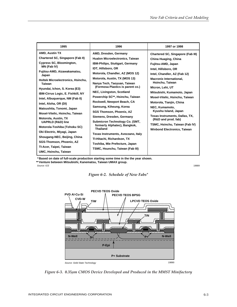| 1995                                                      | 1996                                   | 1997 or 1998                       |  |  |  |
|-----------------------------------------------------------|----------------------------------------|------------------------------------|--|--|--|
| <b>AMD, Austin TX</b>                                     | AMD, Dresden, Germany                  | Chartered SC, Singapore (Fab III)  |  |  |  |
| Chartered SC, Singapore (Fab II)                          | <b>Hualon Microelectronics, Taiwan</b> | China Huaging, China               |  |  |  |
| <b>Cypress SC, Bloomington,</b>                           | <b>IBM-Philips, Stuttgart, Germany</b> | Fujitsu-AMD, Japan                 |  |  |  |
| MN (Fab IV)                                               | IDT, Hillsboro, OR                     | Intel. Hillsboro, OR               |  |  |  |
| Fujitsu-AMD, Aizawakamatsu,<br>Japan                      | Motorola, Chandler, AZ (MOS 12)        | Intel, Chandler, AZ (Fab 12)       |  |  |  |
| <b>Holtek Microelectronics, Hsinchu,</b><br><b>Taiwan</b> | Motorola, Austin, TX (MOS 13)          | <b>Macronix International.</b>     |  |  |  |
|                                                           | Nanya Tech, Taoyuan, Taiwan            | Hsinchu, Taiwan                    |  |  |  |
| Hyundai, Ichon, S. Korea (E3)                             | (Formosa Plastics is parent co.)       | Micron, Lehi, UT                   |  |  |  |
| IBM-Cirrus Logic, E. Fishkill, NY                         | NEC, Livingston, Scotland              | Mitsubishi, Kumamoto, Japan        |  |  |  |
| Intel, Albuguergue, NM (Fab II)                           | Powerchip SC**, Hsinchu, Taiwan        | Mosel-Vitelic, Hsinchu, Taiwan     |  |  |  |
| Intel, Aloha, OR (DI)                                     | Rockwell, Newport Beach, CA            | Motorola, Tianjin, China           |  |  |  |
| Matsushita, Tonomi, Japan                                 | Samsung, Kiheung, Korea                | NEC, Kumamoto,                     |  |  |  |
| Mosel-Vitelic, Hsinchu, Taiwan                            | <b>SGS Thomson, Phoenix, AZ</b>        | Kyushu Island, Japan               |  |  |  |
| Motorola, Austin, TX                                      | Siemens, Dresden, Germany              | Texas Instruments, Dallas, TX,     |  |  |  |
| <b>UAPRLD (R&amp;D) line</b>                              | Submicron Technology Co. (SMT,         | (R&D and prod. fab)                |  |  |  |
| Motorola-Toshiba (Tohoku SC)                              | formerly Alphatec), Bangkok,           | TSMC, Hsinchu, Taiwan (Fab IV)     |  |  |  |
| Oki Electric, Miyagi, Japan                               | <b>Thailand</b>                        | <b>Winbond Electronics, Taiwan</b> |  |  |  |
| Shougang-NEC, Beijing, China                              | Texas Instruments, Avezzano, Italy     |                                    |  |  |  |
| SGS-Thomson, Phoenix, AZ                                  | TI-Hitachi, Richardson, TX             |                                    |  |  |  |
| TI-Acer, Taipei, Taiwan                                   | Toshiba, Mie Prefecture, Japan         |                                    |  |  |  |
|                                                           | TSMC, Hsunchu, Taiwan (Fab III)        |                                    |  |  |  |
| UMC, Hsinchu, Taiwan                                      |                                        |                                    |  |  |  |

**Based on date of full-scale production starting some time in the the year shown. \* Venture between Mitsubishi, Kanematsu, Taiwan UMAX group. \*\*** Source: ICE 200899 20089 20089 20089 20089 20089 20089 20089 20089 20089 20089 20089 20089 20089 20089 20089 20





*Figure 6-3. 0.35µm CMOS Device Developed and Produced in the MMST Minifactory*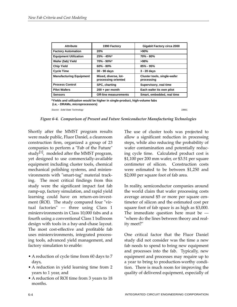| <b>Attribute</b>               | 1990 Factory                                | Gigabit Factory circa 2000                       |  |
|--------------------------------|---------------------------------------------|--------------------------------------------------|--|
| <b>Factory Automation</b>      | 20%                                         | >90%                                             |  |
| <b>Equipment Utilization</b>   | $25% - 45%$                                 | 70% - 80%                                        |  |
| Wafer (fab) Yield              | 70% - 90%*                                  | >98%                                             |  |
| <b>Chip Yield</b>              | $60\% - 80\%$                               | $85\% - 95\%$                                    |  |
| <b>Cycle Time</b>              | 30 - 90 days                                | $3 - 20$ days                                    |  |
| <b>Manufacturing Equipment</b> | Mixed, diverse, lot-<br>processing oriented | <b>Cluster tools, single-wafer</b><br>processing |  |
| <b>Process Control</b>         | <b>SPC, charting</b>                        | Supervisory, real time                           |  |
| <b>Pilot Wafers</b>            | $200 + per month$                           | Each wafer its own pilot                         |  |
| <b>Sensors</b>                 | <b>Off-line measurements</b>                | Smart, embedded, real time                       |  |

**\*Yields and utilization would be higher in single-product, high-volume fabs (i.e, - DRAMs, microprocessors)**

Source: Solid State Technology 19891

*Figure 6-4. Comparison of Present and Future Semiconductor Manufacturing Technologies*

Shortly after the MMST program results were made public, Fluor Daniel, a cleanroom construction firm, organized a group of 23 companies to perform a "Fab of the Future" study<sup>[1]</sup>, modeled after the MMST program, yet designed to use commercially-available equipment including cluster tools, chemical mechanical polishing systems, and minienvironments with "smart-tag" material tracking. The most critical findings from this study were the significant impact fast fab ramp-up, factory simulation, and rapid yield learning could have on return-on-investment (ROI). The study compared four "virtual factories" — three using Class 1 minienvironments in Class 10,000 fabs and a fourth using a conventional Class 1 ballroom design with tools in a bay-and-chase layout. The most cost-effective and profitable fab uses minienvironments, integrated processing tools, advanced yield management, and factory simulation to enable:

- A reduction of cycle time from 60 days to 7 days,
- A reduction in yield learning time from 2 years to 1 year, and
- A reduction of ROI time from 3 years to 18 months.

The use of cluster tools was projected to allow a significant reduction in processing steps, while also reducing the probability of wafer contamination and potentially reducing cycle time. Calculated product cost is \$1,100 per 200 mm wafer, or \$3.51 per square centimeter of silicon. Construction costs were estimated to be between \$1,250 and \$2,000 per square foot of fab area.

In reality, semiconductor companies around the world claim that wafer processing costs average around \$5 or more per square centimeter of silicon and the estimated cost per square foot of fab space is as high as \$3,000. The immediate question here must be — "where do the lines between theory and reality meet?"

One critical factor that the Fluor Daniel study did not consider was the time a new fab needs to spend to bring new equipment and processes into the fab. Typically, new equipment and processes may require up to a year to bring to production-worthy condition. There is much room for improving the quality of delivered equipment, especially of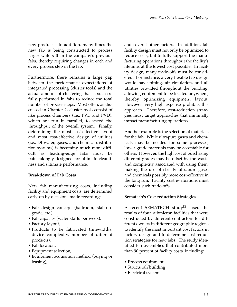new products. In addition, many times the new fab is being constructed to process larger wafers than the company's previous fabs, thereby requiring changes in each and every process step in the fab.

Furthermore, there remains a large gap between the performance expectations of integrated processing (cluster tools) and the actual amount of clustering that is successfully performed in fabs to reduce the total number of process steps. Most often, as discussed in Chapter 2, cluster tools consist of like process chambers (i.e., PVD and PVD), which are run in parallel, to speed the throughput of the overall system. Finally, determining the most cost-effective layout and most cost-effective design of utilities (i.e., DI water, gases, and chemical distribution systems) is becoming much more difficult as leading-edge fabs must be painstakingly designed for ultimate cleanliness and ultimate performance.

# **Breakdown of Fab Costs**

New fab manufacturing costs, including facility and equipment costs, are determined early-on by decisions made regarding:

- Fab design concept (ballroom, slab-ongrade, etc.),
- Fab capacity (wafer starts per week),
- Factory layout,
- Products to be fabricated (linewidths, device complexity, number of different products),
- Fab location,
- Equipment selection,
- Equipment acquisition method (buying or leasing),

and several other factors. In addition, fab facility design must not only be optimized to reduce costs, but to fully support the manufacturing operations throughout the facility's lifetime, at the lowest cost possible. In facility design, many trade-offs must be considered. For instance, a very flexible fab design would have piping, air circulation, and all utilities provided throughout the building, allowing equipment to be located anywhere, thereby optimizing equipment layout. However, very high expense prohibits this approach. Therefore, cost-reduction strategies must target approaches that minimally impact manufacturing operations.

Another example is the selection of materials for the fab. While ultrapure gases and chemicals may be needed for some processes, lower-grade materials may be acceptable for others. However, the high cost of purchasing different grades may be offset by the waste and complexity associated with using them, making the use of strictly ultrapure gases and chemicals possibly more cost-effective in the long run. Facility cost evaluations must consider such trade-offs.

### **Sematech's Cost-reduction Strategies**

A recent SEMATECH study<sup>[2]</sup> used the results of four submicron facilities that were constructed by different contractors for different owners in different geographic regions to identify the most important cost factors in factory design and to determine cost-reduction strategies for new fabs. The study identified ten assemblies that contributed more than 90 percent of facility costs, including:

- Process equipment
- Structural/building
- Electrical system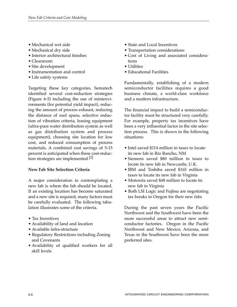- Mechanical wet side
- Mechanical dry side
- Interior architectural finishes
- Cleanroom
- Site development
- Instrumentation and control
- Life safety systems

Targeting these key categories, Sematech identified several cost-reduction strategies (Figure 6-5) including the use of minienvironments (for potential yield impact), reducing the amount of process exhaust, reducing the distance of roof spans, selective reduction of vibration criteria, leasing equipment (ultra-pure water distribution system as well as gas distribution system and process equipment), choosing site location for low cost, and reduced consumption of process materials. A combined cost savings of 5-15 percent is anticipated when these cost-reduction strategies are implemented.<sup>[2]</sup>

# **New Fab Site Selection Criteria**

A major consideration in contemplating a new fab is where the fab should be located. If an existing location has become saturated and a new site is required, many factors must be carefully evaluated. The following tabulation illustrates some of the criteria.

- Tax Incentives
- Availability of land and location
- Available infra-structure
- Regulatory Restrictions including Zoning and Covenants
- Availability of qualified workers for all skill levels
- State and Local Incentives
- Transportation considerations
- Cost of Living and associated considerations
- Utilities
- Educational Facilities

Fundamentally, establishing of a modern semiconductor facilities requires a good business climate, a world-class workforce and a modern infrastructure.

The financial impact to build a semiconductor facility must be structured very carefully. For example, property tax incentives have been a very influential factor in the site selection process. This is shown in the following situations:

- Intel saved \$114 million in taxes to locate its new fab in Rio Rancho, NM
- Siemens saved \$80 million in taxes to locate its new fab in Newcastle, U.K.
- IBM and Toshiba saved \$165 million in taxes to locate its new fab in Virginia
- Motorola saved \$48 million to locate its new fab in Virginia
- Both LSI Logic and Fujitsu are negotiating tax breaks in Oregon for their new fabs

During the past seven years the Pacific Northwest and the Southwest have been the more successful areas to attract new semiconductor factories. Oregon in the Pacific Northwest and New Mexico, Arizona, and Texas in the Southwest have been the more preferred sites.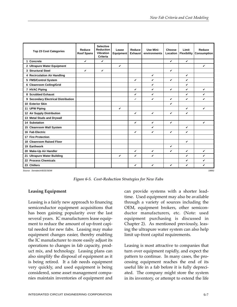| <b>Top 23 Cost Categories</b>                                                                                 | Reduce<br><b>Roof Spans</b> | <b>Selective</b><br><b>Reduction</b><br>Vibration<br><b>Criteria</b> | Lease<br>Equipment | Reduce<br><b>Exhaust</b> | Use Mini-<br>environments | Choose<br>Location | Limit<br>Flexibility | Reduce<br><b>Consumption</b> |
|---------------------------------------------------------------------------------------------------------------|-----------------------------|----------------------------------------------------------------------|--------------------|--------------------------|---------------------------|--------------------|----------------------|------------------------------|
| 1 Concrete                                                                                                    | $\checkmark$                | V                                                                    |                    |                          |                           | V                  | $\checkmark$         |                              |
| 2 Ultrapure Water Equipment                                                                                   |                             |                                                                      | $\checkmark$       |                          |                           |                    |                      | $\checkmark$                 |
| 3 Structural Steel                                                                                            | $\checkmark$                | V                                                                    |                    |                          |                           | V                  |                      |                              |
| 4 Recirculation Air Handling                                                                                  |                             |                                                                      |                    |                          | $\boldsymbol{\nu}$        |                    | V                    |                              |
| 5 FMS/Control System                                                                                          |                             |                                                                      |                    | $\mathbf{v}$             | $\mathbf v$               | $\checkmark$       | V                    |                              |
| 6 Cleanroom Ceiling/Grid                                                                                      |                             |                                                                      |                    |                          | V                         |                    | V                    |                              |
| 7 HVAC Piping                                                                                                 |                             |                                                                      |                    | $\checkmark$             | $\checkmark$              | V                  | V                    | $\boldsymbol{\nu}$           |
| 8 Scrubbed Exhaust                                                                                            |                             |                                                                      |                    | V                        | V                         |                    | V                    | V                            |
| 9 Secondary Electrical Distribution                                                                           |                             |                                                                      |                    | ✓                        | V                         | V                  | V                    | ✓                            |
| 10 Exterior Skin                                                                                              |                             |                                                                      |                    |                          |                           | V                  |                      |                              |
| 11 UPW Piping                                                                                                 |                             |                                                                      | V                  |                          |                           |                    | $\checkmark$         | $\checkmark$                 |
| 12 Air Supply Distribution                                                                                    |                             |                                                                      |                    | $\mathbf{v}$             | $\mathbf v$               | V                  | V                    |                              |
| 13 Metal Studs and Drywall                                                                                    |                             |                                                                      |                    |                          |                           |                    |                      |                              |
| 14 Substation                                                                                                 |                             |                                                                      |                    | $\checkmark$             | $\checkmark$              | $\checkmark$       |                      | $\mathbf{v}$                 |
| 15 Cleanroom Wall System                                                                                      |                             |                                                                      |                    |                          | $\boldsymbol{\nu}$        |                    | $\checkmark$         |                              |
| 16 Fab Electric                                                                                               |                             |                                                                      |                    | $\checkmark$             | $\checkmark$              | $\checkmark$       | V                    |                              |
| <b>17 Fire Protection</b>                                                                                     |                             |                                                                      |                    |                          |                           |                    |                      |                              |
| 18 Cleanroom Raised Floor                                                                                     |                             |                                                                      |                    |                          |                           |                    | $\checkmark$         |                              |
| 19 Earthwork                                                                                                  |                             |                                                                      |                    |                          |                           | v                  |                      |                              |
| 20 Make-Up Air Handler                                                                                        |                             |                                                                      |                    | $\checkmark$             | $\checkmark$              | ✓                  | $\checkmark$         | $\checkmark$                 |
| 21 Ultrapure Water Building                                                                                   |                             |                                                                      | $\checkmark$       | v                        | $\boldsymbol{\nu}$        |                    | V                    | V                            |
| 22 Process Chemicals                                                                                          |                             |                                                                      |                    |                          |                           |                    | V                    | ✓                            |
| 23 Chillers                                                                                                   |                             |                                                                      |                    | $\checkmark$             | V                         | V                  | V                    | V                            |
| $Q_{2}$ $Q_{3}$ $Q_{4}$ $Q_{5}$ $Q_{6}$ $Q_{7}$ $Q_{8}$ $Q_{10}$ $Q_{11}$ $Q_{12}$ $Q_{13}$ $Q_{14}$<br>1000c |                             |                                                                      |                    |                          |                           |                    |                      |                              |

Source: Sematech/IEEE/SEM

*Figure 6-5. Cost-Reduction Strategies for New Fabs*

### **Leasing Equipment**

Leasing is a fairly new approach to financing semiconductor equipment acquisitions that has been gaining popularity over the last several years. IC manufacturers lease equipment to reduce the amount of up-front capital needed for new fabs. Leasing may make equipment changes easier, thereby enabling the IC manufacturer to more easily adjust its operations to changes in fab capacity, product mix, and technology. Leasing plans can also simplify the disposal of equipment as it is being retired. It a fab needs equipment very quickly, and used equipment is being considered, some asset management companies maintain inventories of equipment and

can provide systems with a shorter leadtime. Used equipment may also be available through a variety of sources including the OEM, equipment brokers, other semiconductor manufacturers, etc. (Note: used equipment purchasing is discussed in Chapter 2). As mentioned previously, leasing the ultrapure water system can also help limit up-front capital requirements.

Leasing is most attractive to companies that turn over equipment rapidly, and expect the pattern to continue. In many cases, the processing equipment reaches the end of its useful life in a fab before it is fully depreciated. The company might store the system in its inventory, or attempt to extend the life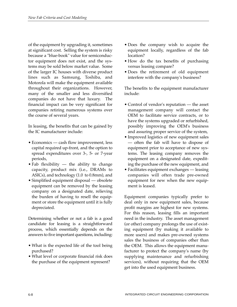of the equipment by upgrading it, sometimes at significant cost. Selling the system is risky because a "blue-book" value for semiconductor equipment does not exist, and the systems may be sold below market value. Some of the larger IC houses with diverse product lines such as Samsung, Toshiba, and Motorola will make the equipment available throughout their organizations. However, many of the smaller and less diversified companies do not have that luxury. The financial impact can be very significant for companies retiring numerous systems over the course of several years.

In leasing, the benefits that can be gained by the IC manufacturer include:

- Economics cash flow improvement, less capital required up-front, and the option to spread expenditures over 3-, 5- or 7-year periods,
- Fab flexibility the ability to change capacity, product mix (i.e., DRAMs to ASICs), and technology (1.0 to 0.8mm), and
- Simplified equipment disposal obsolete equipment can be removed by the leasing company on a designated date, relieving the burden of having to resell the equipment or store the equipment until it is fully depreciated.

Determining whether or not a fab is a good candidate for leasing is a straightforward process, which essentially depends on the answers to five important questions, including:

- What is the expected life of the tool being purchased?
- What level or corporate financial risk does the purchase of the equipment represent?
- Does the company wish to acquire the equipment locally, regardless of the fab location?
- How do the tax benefits of purchasing versus leasing compare?
- Does the retirement of old equipment interfere with the company's business?

The benefits to the equipment manufacturer include:

- Control of vendor's reputation the asset management company will contact the OEM to facilitate service contracts, or to have the systems upgraded or refurbished, possibly improving the OEM's business and assuring proper service of the system,
- Improved logistics of new equipment sales — often the fab will have to dispose of equipment prior to acceptance of new systems. The leasing company removes the equipment on a designated date, expediting the purchase of the new equipment, and
- Facilitates equipment exchanges leasing companies will often trade pre-owned equipment for new when the new equipment is leased.

Equipment companies typically prefer to deal only in new equipment sales, because profit margins are highest for new systems. For this reason, leasing fills an important need in the industry. The asset management (or other) company prolongs the use of existing equipment (by making it available to more users) and makes pre-owned systems sales the business of companies other than the OEM. This allows the equipment manufacturer to protect the company's name (by supplying maintenance and refurbishing services), without requiring that the OEM get into the used equipment business.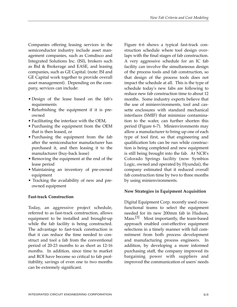Companies offering leasing services in the semiconductor industry include asset management companies, such as Comdisco and Integrated Solutions Inc. (ISI), brokers such as Bid & Brokerage and EASE, and leasing companies, such as GE Capital. (note: ISI and GE Capital work together to provide overall asset management). Depending on the company, services can include:

- Design of the lease based on the fab's requirements
- Refurbishing the equipment if it is preowned
- Facilitating the interface with the OEM,
- Purchasing the equipment from the OEM that is then leased, or
- Purchasing the equipment from the fab after the semiconductor manufacturer has purchased it, and then leasing it to the manufacturer (buy-back lease)
- Removing the equipment at the end of the lease period
- Maintaining an inventory of pre-owned equipment
- Tracking the availability of new and preowned equipment

### **Fast-track Construction**

Today, an aggressive project schedule, referred to as fast-track construction, allows equipment to be installed and brought-up while the fab facility is being constructed. The advantage to fast-track construction is that it can reduce the time needed to construct and tool a fab from the conventional period of 20-23 months to as short as 12-16 months. In addition, since time to market and ROI have become so critical to fab profitability, savings of even one to two months can be extremely significant.

Figure 6-6 shows a typical fast-track construction schedule where tool design overlaps with the final stages of fab construction. A very aggressive schedule for an IC fab facility can involve the simultaneous design of the process tools and fab construction, so that design of the process tools does not impact the schedule at all. This is the type of schedule today's new fabs are following to reduce new fab construction time to about 12 months. Some industry experts believe that the use of minienvironments, tool and cassette enclosures with standard mechanical interfaces (SMIF) that minimize contamination to the wafer, can further shorten this period (Figure 6-7). Minienvironments may allow a manufacturer to bring up one of each type of tool first, so that engineering and qualification lots can be run while construction is being completed and new equipment is still being brought into the fab. At NCR's Colorado Springs facility (now Symbios Logic, owned and operated by Hyundai), the company estimated that it reduced overall fab construction time by two to three months by using minienvironments.

### **New Strategies in Equipment Acquisition**

Digital Equipment Corp. recently used crossfunctional teams to select the equipment needed for its new 200mm fab in Hudson, Mass.<sup>[3]</sup> Most importantly, the team-based approach enabled cost-effective equipment selections in a timely manner with full commitment from both process development and manufacturing process engineers. In addition, by developing a more informed purchasing staff, the company improved its bargaining power with suppliers and improved the communication of users' needs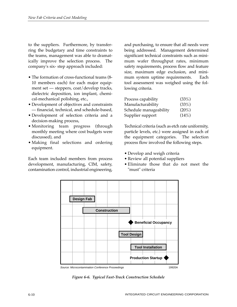to the suppliers. Furthermore, by transferring the budgetary and time constraints to the teams, management was able to dramatically improve the selection process. The company's six- step approach included:

- The formation of cross-functional teams (8- 10 members each) for each major equipment set — steppers, coat/develop tracks, dielectric deposition, ion implant, chemical-mechanical polishing, etc.,
- Development of objectives and constraints — financial, technical, and schedule-based,
- Development of selection criteria and a decision-making process,
- Monitoring team progress (through monthly meeting where cost budgets were discussed), and
- Making final selections and ordering equipment.

Each team included members from process development, manufacturing, CIM, safety, contamination control, industrial engineering,

and purchasing, to ensure that all needs were being addressed. Management determined significant technical constraints such as minimum wafer throughput rates, minimum safety requirements, process flow and feature size, maximum edge exclusion, and minimum system uptime requirements. Each tool assessment was weighed using the following criteria.

| Process capability     | (33%)    |
|------------------------|----------|
| Manufacturability      | (33%)    |
| Schedule manageability | $(20\%)$ |
| Supplier support       | (14%)    |

Technical criteria (such as etch rate uniformity, particle levels, etc.) were assigned in each of the equipment categories. The selection process flow involved the following steps.

- Develop and weigh criteria
- Review all potential suppliers
- Eliminate those that do not meet the "must" criteria



*Figure 6-6. Typical Fast-Track Construction Schedule*